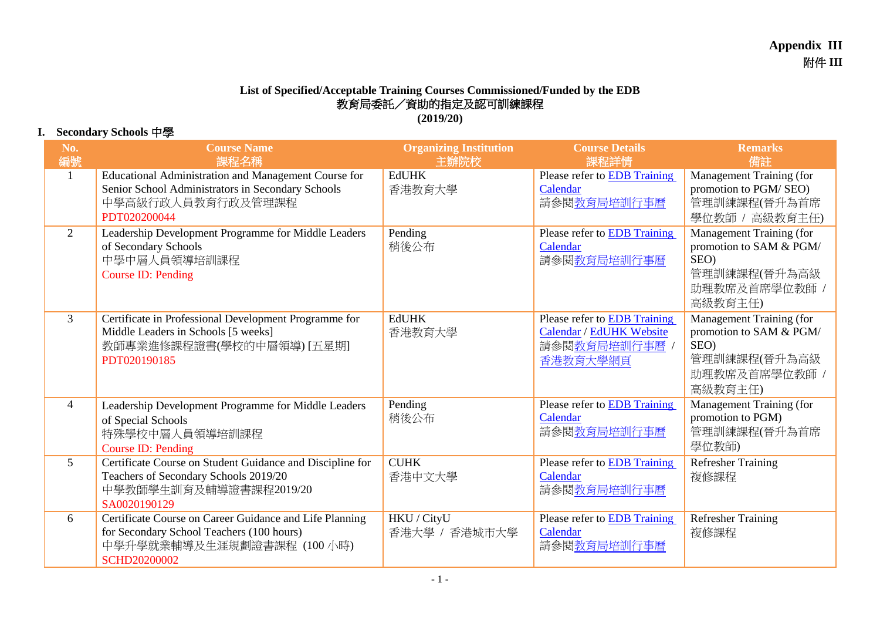## **List of Specified/Acceptable Training Courses Commissioned/Funded by the EDB** 教育局委託/資助的指定及認可訓練課程 **(2019/20)**

## **I. Secondary Schools** 中學

| No.<br>編號      | <b>Course Name</b><br>課程名稱                                                                                                                                | <b>Organizing Institution</b><br> 主辦院校 | <b>Course Details</b><br>課程詳情                                                       | <b>Remarks</b><br>備註                                                                                    |
|----------------|-----------------------------------------------------------------------------------------------------------------------------------------------------------|----------------------------------------|-------------------------------------------------------------------------------------|---------------------------------------------------------------------------------------------------------|
| $\mathbf{1}$   | Educational Administration and Management Course for<br>Senior School Administrators in Secondary Schools<br>中學高級行政人員教育行政及管理課程<br>PDT020200044            | <b>EdUHK</b><br>香港教育大學                 | Please refer to EDB Training<br>Calendar<br>請參閱教育局培訓行事曆                             | Management Training (for<br>promotion to PGM/SEO)<br>管理訓練課程(晉升為首席<br>學位教師 / 高級教育主任)                     |
| $\overline{2}$ | Leadership Development Programme for Middle Leaders<br>of Secondary Schools<br>中學中層人員領導培訓課程<br>Course ID: Pending                                         | Pending<br>稍後公布                        | Please refer to <b>EDB</b> Training<br>Calendar<br>請參閱教育局培訓行事曆                      | Management Training (for<br>promotion to SAM & PGM/<br>SEO)<br>管理訓練課程(晉升為高級<br>助理教席及首席學位教師 /<br>高級教育主任) |
| $\mathfrak{Z}$ | Certificate in Professional Development Programme for<br>Middle Leaders in Schools [5 weeks]<br>教師專業進修課程證書(學校的中層領導) [五星期]<br>PDT020190185                 | <b>EdUHK</b><br>香港教育大學                 | Please refer to EDB Training<br>Calendar / EdUHK Website<br>請參閱教育局培訓行事曆<br>香港教育大學網頁 | Management Training (for<br>promotion to SAM & PGM/<br>SEO)<br>管理訓練課程(晉升為高級<br>助理教席及首席學位教師 /<br>高級教育主任) |
| $\overline{4}$ | Leadership Development Programme for Middle Leaders<br>of Special Schools<br>特殊學校中層人員領導培訓課程<br>Course ID: Pending                                         | Pending<br>稍後公布                        | Please refer to <b>EDB</b> Training<br>Calendar<br>請參閱教育局培訓行事曆                      | Management Training (for<br>promotion to PGM)<br>管理訓練課程(晉升為首席<br>學位教師)                                  |
| 5 <sup>5</sup> | Certificate Course on Student Guidance and Discipline for<br>Teachers of Secondary Schools 2019/20<br>中學教師學生訓育及輔導證書課程2019/20<br>SA0020190129              | <b>CUHK</b><br>香港中文大學                  | Please refer to <b>EDB</b> Training<br>Calendar<br>請參閱教育局培訓行事曆                      | <b>Refresher Training</b><br>複修課程                                                                       |
| 6              | Certificate Course on Career Guidance and Life Planning<br>for Secondary School Teachers (100 hours)<br>中學升學就業輔導及生涯規劃證書課程 (100 小時)<br><b>SCHD20200002</b> | HKU / CityU<br>香港大學 / 香港城市大學           | Please refer to <b>EDB</b> Training<br>Calendar<br>請參閱教育局培訓行事曆                      | <b>Refresher Training</b><br>複修課程                                                                       |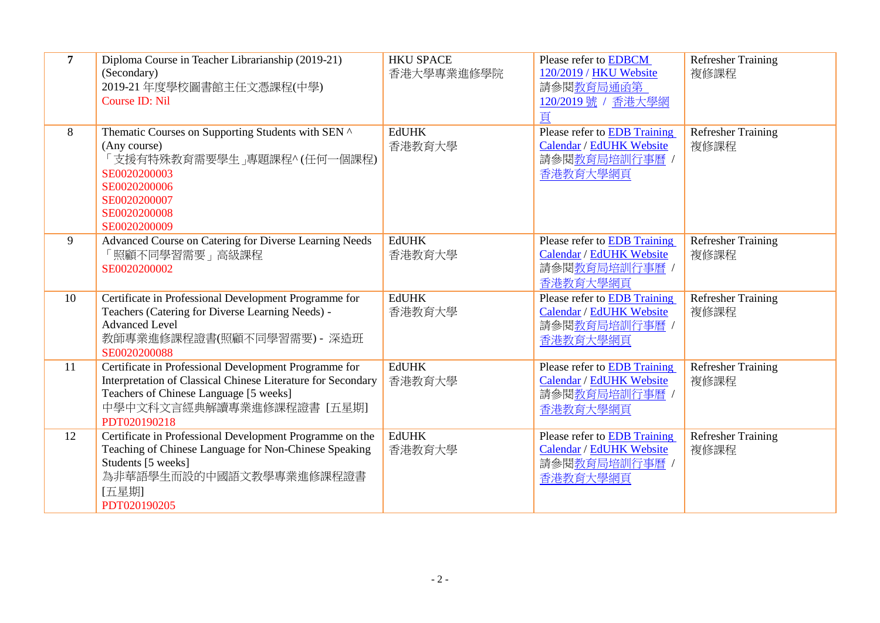| $\overline{7}$ | Diploma Course in Teacher Librarianship (2019-21)<br>(Secondary)<br>2019-21 年度學校圖書館主任文憑課程(中學)<br>Course ID: Nil                                                                                              | <b>HKU SPACE</b><br>香港大學專業進修學院 | Please refer to <b>EDBCM</b><br>120/2019 / HKU Website<br>請參閱教育局通函第<br>120/2019號 / 香港大學網<br>頁 | <b>Refresher Training</b><br>複修課程 |
|----------------|--------------------------------------------------------------------------------------------------------------------------------------------------------------------------------------------------------------|--------------------------------|-----------------------------------------------------------------------------------------------|-----------------------------------|
| 8              | Thematic Courses on Supporting Students with SEN ^<br>(Any course)<br>「支援有特殊教育需要學生」專題課程^ (任何一個課程)<br>SE0020200003<br>SE0020200006<br>SE0020200007<br>SE0020200008<br>SE0020200009                            | <b>EdUHK</b><br>香港教育大學         | Please refer to <b>EDB</b> Training<br>Calendar / EdUHK Website<br>請參閱教育局培訓行事曆 /<br>香港教育大學網頁  | <b>Refresher Training</b><br>複修課程 |
| 9              | Advanced Course on Catering for Diverse Learning Needs<br>「照顧不同學習需要」高級課程<br>SE0020200002                                                                                                                     | <b>EdUHK</b><br>香港教育大學         | Please refer to EDB Training<br>Calendar / EdUHK Website<br>請參閱教育局培訓行事曆 /<br>香港教育大學網頁         | <b>Refresher Training</b><br>複修課程 |
| 10             | Certificate in Professional Development Programme for<br>Teachers (Catering for Diverse Learning Needs) -<br><b>Advanced Level</b><br>教師專業進修課程證書(照顧不同學習需要) - 深造班<br>SE0020200088                             | <b>EdUHK</b><br>香港教育大學         | Please refer to EDB Training<br>Calendar / EdUHK Website<br>請參閱教育局培訓行事曆 /<br>香港教育大學網頁         | <b>Refresher Training</b><br>複修課程 |
| 11             | Certificate in Professional Development Programme for<br>Interpretation of Classical Chinese Literature for Secondary<br>Teachers of Chinese Language [5 weeks]<br>中學中文科文言經典解讀專業進修課程證書 [五星期]<br>PDT020190218 | <b>EdUHK</b><br>香港教育大學         | Please refer to EDB Training<br>Calendar / EdUHK Website<br>請參閱教育局培訓行事曆 /<br>香港教育大學網頁         | Refresher Training<br>複修課程        |
| 12             | Certificate in Professional Development Programme on the<br>Teaching of Chinese Language for Non-Chinese Speaking<br>Students [5 weeks]<br>為非華語學生而設的中國語文教學專業進修課程證書<br>[五星期]<br>PDT020190205                  | <b>EdUHK</b><br>香港教育大學         | Please refer to EDB Training<br>Calendar / EdUHK Website<br>請參閱教育局培訓行事曆 /<br>香港教育大學網頁         | <b>Refresher Training</b><br>複修課程 |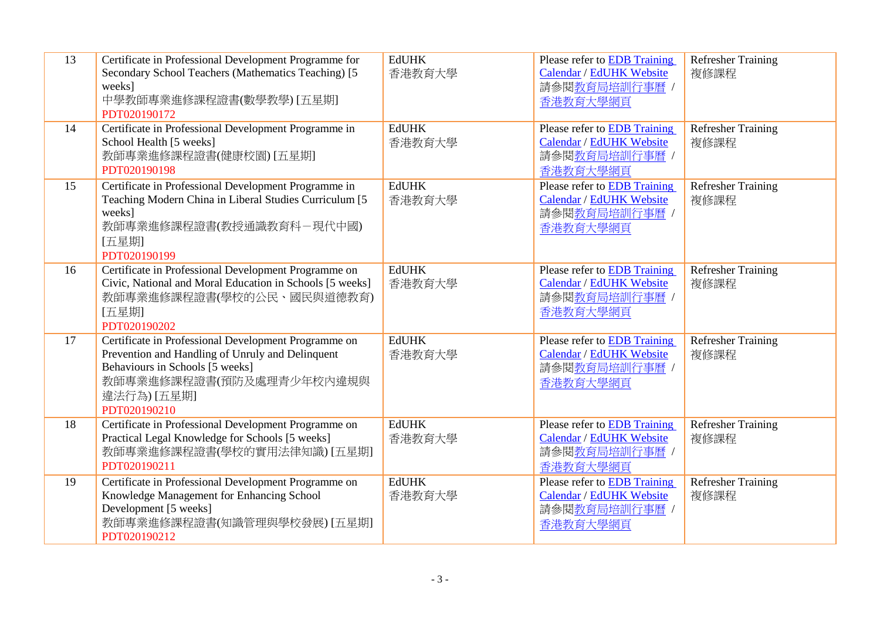| 13<br>14 | Certificate in Professional Development Programme for<br>Secondary School Teachers (Mathematics Teaching) [5]<br>weeks]<br>中學教師專業進修課程證書(數學教學) [五星期]<br>PDT020190172<br>Certificate in Professional Development Programme in | <b>EdUHK</b><br>香港教育大學<br><b>EdUHK</b> | Please refer to EDB Training<br>Calendar / EdUHK Website<br>請參閱教育局培訓行事曆 /<br>香港教育大學網頁<br>Please refer to EDB Training | <b>Refresher Training</b><br>複修課程<br><b>Refresher Training</b> |
|----------|-----------------------------------------------------------------------------------------------------------------------------------------------------------------------------------------------------------------------------|----------------------------------------|-----------------------------------------------------------------------------------------------------------------------|----------------------------------------------------------------|
|          | School Health [5 weeks]<br>教師專業進修課程證書(健康校園) [五星期]<br>PDT020190198                                                                                                                                                           | 香港教育大學                                 | Calendar / EdUHK Website<br>請參閱教育局培訓行事曆 /<br>香港教育大學網頁                                                                 | 複修課程                                                           |
| 15       | Certificate in Professional Development Programme in<br>Teaching Modern China in Liberal Studies Curriculum [5<br>weeks]<br>教師專業進修課程證書(教授通識教育科-現代中國)<br>[五星期]<br>PDT020190199                                               | <b>EdUHK</b><br>香港教育大學                 | Please refer to EDB Training<br>Calendar / EdUHK Website<br>請參閱教育局培訓行事曆 /<br>香港教育大學網頁                                 | <b>Refresher Training</b><br>複修課程                              |
| 16       | Certificate in Professional Development Programme on<br>Civic, National and Moral Education in Schools [5 weeks]<br>教師專業進修課程證書(學校的公民、國民與道德教育)<br>[五星期]<br>PDT020190202                                                      | <b>EdUHK</b><br>香港教育大學                 | Please refer to <b>EDB</b> Training<br>Calendar / EdUHK Website<br>請參閱教育局培訓行事曆 /<br>香港教育大學網頁                          | <b>Refresher Training</b><br>複修課程                              |
| 17       | Certificate in Professional Development Programme on<br>Prevention and Handling of Unruly and Delinquent<br>Behaviours in Schools [5 weeks]<br>教師專業進修課程證書(預防及處理青少年校內違規與<br>違法行為) [五星期]<br>PDT020190210                      | <b>EdUHK</b><br>香港教育大學                 | Please refer to EDB Training<br>Calendar / EdUHK Website<br>請參閱教育局培訓行事曆 /<br>香港教育大學網頁                                 | <b>Refresher Training</b><br>複修課程                              |
| 18       | Certificate in Professional Development Programme on<br>Practical Legal Knowledge for Schools [5 weeks]<br>教師專業進修課程證書(學校的實用法律知識) [五星期]<br>PDT020190211                                                                      | <b>EdUHK</b><br>香港教育大學                 | Please refer to EDB Training<br>Calendar / EdUHK Website<br>請參閱教育局培訓行事曆 /<br>香港教育大學網頁                                 | <b>Refresher Training</b><br>複修課程                              |
| 19       | Certificate in Professional Development Programme on<br>Knowledge Management for Enhancing School<br>Development [5 weeks]<br>教師專業進修課程證書(知識管理與學校發展) [五星期]<br>PDT020190212                                                   | <b>EdUHK</b><br>香港教育大學                 | Please refer to EDB Training<br>Calendar / EdUHK Website<br>請參閱教育局培訓行事曆 /<br>香港教育大學網頁                                 | Refresher Training<br>複修課程                                     |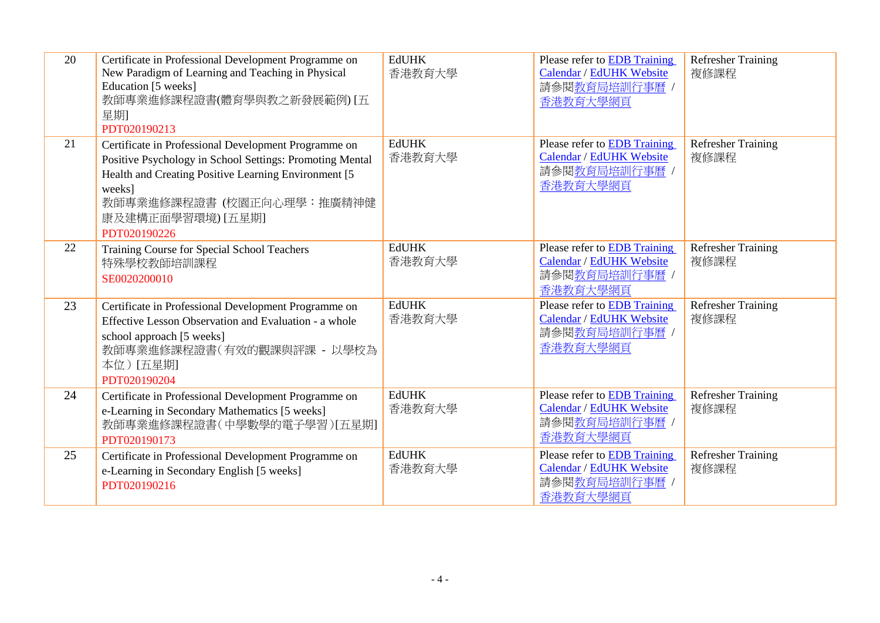| 20 | Certificate in Professional Development Programme on<br>New Paradigm of Learning and Teaching in Physical<br>Education [5 weeks]<br>教師專業進修課程證書(體育學與教之新發展範例) [五<br>星期]<br>PDT020190213                                                                 | <b>EdUHK</b><br>香港教育大學 | Please refer to EDB Training<br>Calendar / EdUHK Website<br>請參閱教育局培訓行事曆 /<br>香港教育大學網頁        | <b>Refresher Training</b><br>複修課程 |
|----|-------------------------------------------------------------------------------------------------------------------------------------------------------------------------------------------------------------------------------------------------------|------------------------|----------------------------------------------------------------------------------------------|-----------------------------------|
| 21 | Certificate in Professional Development Programme on<br>Positive Psychology in School Settings: Promoting Mental<br>Health and Creating Positive Learning Environment [5]<br>weeks]<br>教師專業進修課程證書 (校園正向心理學:推廣精神健<br>康及建構正面學習環境) [五星期]<br>PDT020190226 | <b>EdUHK</b><br>香港教育大學 | Please refer to EDB Training<br>Calendar / EdUHK Website<br>請參閱教育局培訓行事曆 /<br>香港教育大學網頁        | <b>Refresher Training</b><br>複修課程 |
| 22 | Training Course for Special School Teachers<br>特殊學校教師培訓課程<br>SE0020200010                                                                                                                                                                             | <b>EdUHK</b><br>香港教育大學 | Please refer to EDB Training<br>Calendar / EdUHK Website<br>請參閱教育局培訓行事曆 /<br>香港教育大學網頁        | <b>Refresher Training</b><br>複修課程 |
| 23 | Certificate in Professional Development Programme on<br>Effective Lesson Observation and Evaluation - a whole<br>school approach [5 weeks]<br>教師專業進修課程證書(有效的觀課與評課 - 以學校為<br>本位)[五星期]<br>PDT020190204                                                  | <b>EdUHK</b><br>香港教育大學 | Please refer to <b>EDB</b> Training<br>Calendar / EdUHK Website<br>請參閱教育局培訓行事曆 /<br>香港教育大學網頁 | <b>Refresher Training</b><br>複修課程 |
| 24 | Certificate in Professional Development Programme on<br>e-Learning in Secondary Mathematics [5 weeks]<br>教師專業進修課程證書(中學數學的電子學習)[五星期]<br>PDT020190173                                                                                                   | <b>EdUHK</b><br>香港教育大學 | Please refer to EDB Training<br>Calendar / EdUHK Website<br>請參閱教育局培訓行事曆 /<br>香港教育大學網頁        | <b>Refresher Training</b><br>複修課程 |
| 25 | Certificate in Professional Development Programme on<br>e-Learning in Secondary English [5 weeks]<br>PDT020190216                                                                                                                                     | <b>EdUHK</b><br>香港教育大學 | Please refer to EDB Training<br>Calendar / EdUHK Website<br>請參閱教育局培訓行事曆 /<br>香港教育大學網頁        | <b>Refresher Training</b><br>複修課程 |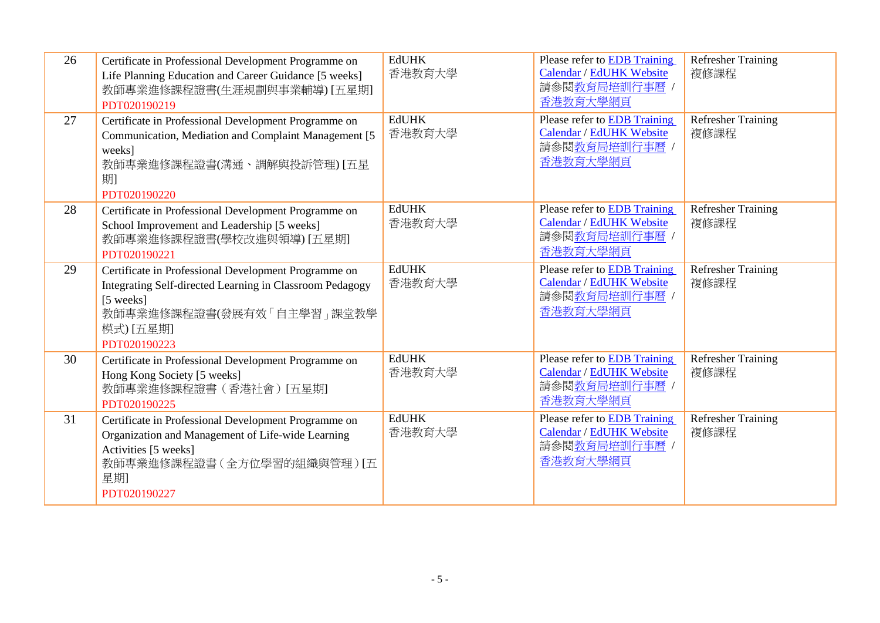| 26 | Certificate in Professional Development Programme on<br>Life Planning Education and Career Guidance [5 weeks]<br>教師專業進修課程證書(生涯規劃與事業輔導) [五星期]<br>PDT020190219                            | <b>EdUHK</b><br>香港教育大學 | Please refer to EDB Training<br>Calendar / EdUHK Website<br>請參閱教育局培訓行事曆 /<br>香港教育大學網頁        | <b>Refresher Training</b><br>複修課程 |
|----|-----------------------------------------------------------------------------------------------------------------------------------------------------------------------------------------|------------------------|----------------------------------------------------------------------------------------------|-----------------------------------|
| 27 | Certificate in Professional Development Programme on<br>Communication, Mediation and Complaint Management [5]<br>weeks]<br>教師專業進修課程證書(溝通、調解與投訴管理) [五星<br>期1<br>PDT020190220             | <b>EdUHK</b><br>香港教育大學 | Please refer to <b>EDB</b> Training<br>Calendar / EdUHK Website<br>請參閱教育局培訓行事曆 /<br>香港教育大學網頁 | <b>Refresher Training</b><br>複修課程 |
| 28 | Certificate in Professional Development Programme on<br>School Improvement and Leadership [5 weeks]<br>教師專業進修課程證書(學校改進與領導) [五星期]<br>PDT020190221                                        | <b>EdUHK</b><br>香港教育大學 | Please refer to EDB Training<br>Calendar / EdUHK Website<br>請參閱教育局培訓行事曆 /<br>香港教育大學網頁        | <b>Refresher Training</b><br>複修課程 |
| 29 | Certificate in Professional Development Programme on<br>Integrating Self-directed Learning in Classroom Pedagogy<br>[5 weeks]<br>教師專業進修課程證書(發展有效「自主學習」課堂教學<br>模式) [五星期]<br>PDT020190223 | <b>EdUHK</b><br>香港教育大學 | Please refer to EDB Training<br>Calendar / EdUHK Website<br>請參閱教育局培訓行事曆 /<br>香港教育大學網頁        | <b>Refresher Training</b><br>複修課程 |
| 30 | Certificate in Professional Development Programme on<br>Hong Kong Society [5 weeks]<br>教師專業進修課程證書(香港社會)[五星期]<br>PDT020190225                                                            | <b>EdUHK</b><br>香港教育大學 | Please refer to <b>EDB</b> Training<br>Calendar / EdUHK Website<br>請參閱教育局培訓行事曆 /<br>香港教育大學網頁 | <b>Refresher Training</b><br>複修課程 |
| 31 | Certificate in Professional Development Programme on<br>Organization and Management of Life-wide Learning<br>Activities [5 weeks]<br>教師專業進修課程證書(全方位學習的組織與管理)[五<br>星期<br>PDT020190227    | <b>EdUHK</b><br>香港教育大學 | Please refer to <b>EDB</b> Training<br>Calendar / EdUHK Website<br>請參閱教育局培訓行事曆 /<br>香港教育大學網頁 | <b>Refresher Training</b><br>複修課程 |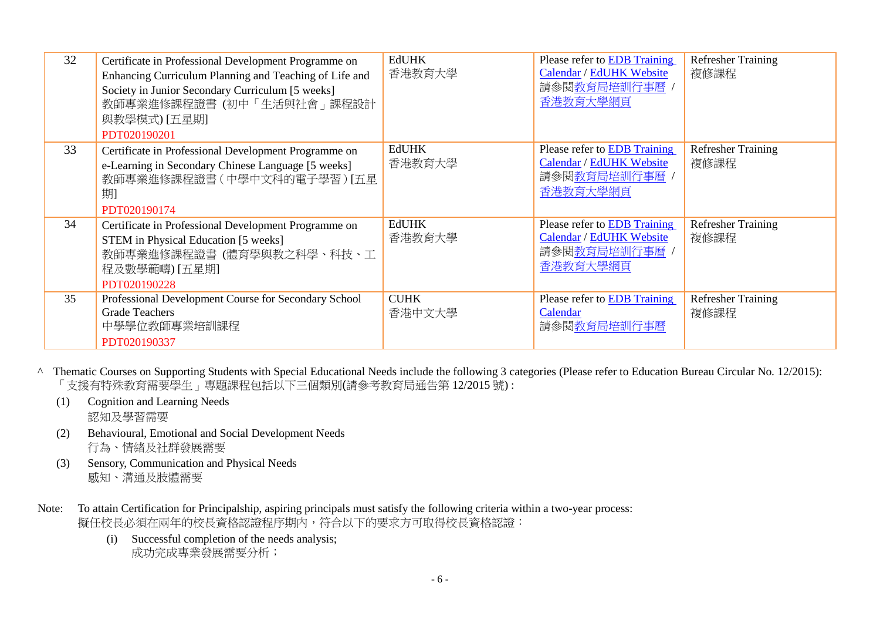| 32 | Certificate in Professional Development Programme on<br>Enhancing Curriculum Planning and Teaching of Life and<br>Society in Junior Secondary Curriculum [5 weeks]<br>教師專業進修課程證書(初中「生活與社會」課程設計<br>與教學模式) [五星期]<br>PDT020190201 | <b>EdUHK</b><br>香港教育大學 | Please refer to <b>EDB</b> Training<br>Calendar / EdUHK Website<br>請參閱教育局培訓行事曆<br>香港教育大學網頁   | <b>Refresher Training</b><br>複修課程 |
|----|--------------------------------------------------------------------------------------------------------------------------------------------------------------------------------------------------------------------------------|------------------------|----------------------------------------------------------------------------------------------|-----------------------------------|
| 33 | Certificate in Professional Development Programme on<br>e-Learning in Secondary Chinese Language [5 weeks]<br>教師專業進修課程證書(中學中文科的電子學習) [五星<br>期<br>PDT020190174                                                                  | <b>EdUHK</b><br>香港教育大學 | Please refer to <b>EDB</b> Training<br>Calendar / EdUHK Website<br>請參閱教育局培訓行事曆 /<br>香港教育大學網頁 | <b>Refresher Training</b><br>複修課程 |
| 34 | Certificate in Professional Development Programme on<br>STEM in Physical Education [5 weeks]<br>教師專業進修課程證書 (體育學與教之科學、科技、工<br>程及數學範疇) [五星期]<br>PDT020190228                                                                     | <b>EdUHK</b><br>香港教育大學 | Please refer to EDB Training<br>Calendar / EdUHK Website<br>請參閱教育局培訓行事曆 /<br>香港教育大學網頁        | <b>Refresher Training</b><br>複修課程 |
| 35 | Professional Development Course for Secondary School<br><b>Grade Teachers</b><br>中學學位教師專業培訓課程<br>PDT020190337                                                                                                                  | <b>CUHK</b><br>香港中文大學  | Please refer to <b>EDB</b> Training<br>Calendar<br>請參閱教育局培訓行事曆                               | <b>Refresher Training</b><br>複修課程 |

- ^ Thematic Courses on Supporting Students with Special Educational Needs include the following 3 categories (Please refer to Education Bureau Circular No. 12/2015): 「支援有特殊教育需要學生」專題課程包括以下三個類別(請參考教育局通告第 12/2015 號) :
	- (1) Cognition and Learning Needs 認知及學習需要
	- (2) Behavioural, Emotional and Social Development Needs 行為、情緒及社群發展需要
	- (3) Sensory, Communication and Physical Needs 感知、溝通及肢體需要
- Note: To attain Certification for Principalship, aspiring principals must satisfy the following criteria within a two-year process: 擬任校長必須在兩年的校長資格認證程序期內,符合以下的要求方可取得校長資格認證:
	- (i) Successful completion of the needs analysis; 成功完成專業發展需要分析;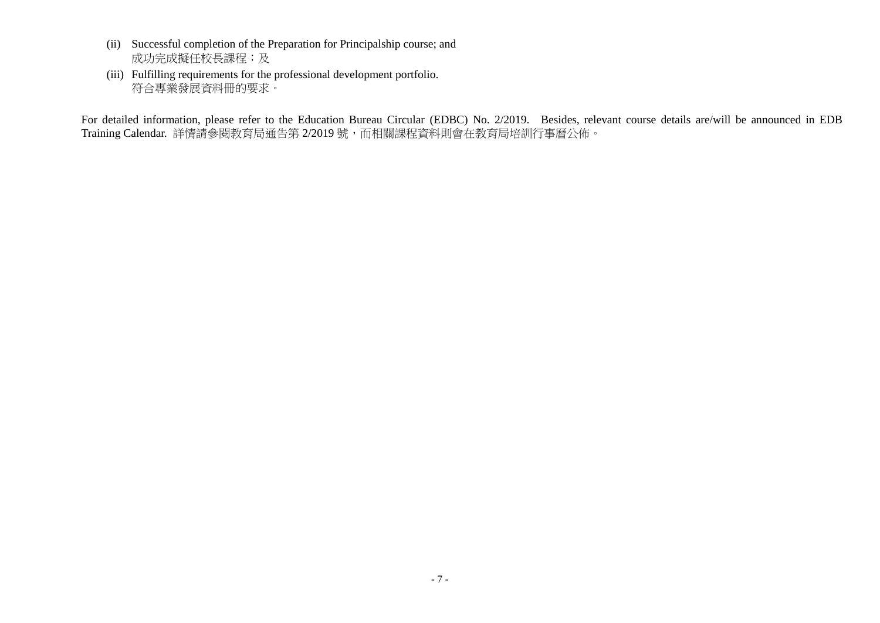- (ii) Successful completion of the Preparation for Principalship course; and 成功完成擬任校長課程;及
- (iii) Fulfilling requirements for the professional development portfolio. 符合專業發展資料冊的要求。

For detailed information, please refer to the Education Bureau Circular (EDBC) No. 2/2019. Besides, relevant course details are/will be announced in EDB Training Calendar. 詳情請參閱教育局通告第 2/2019 號,而相關課程資料則會在教育局培訓行事曆公佈。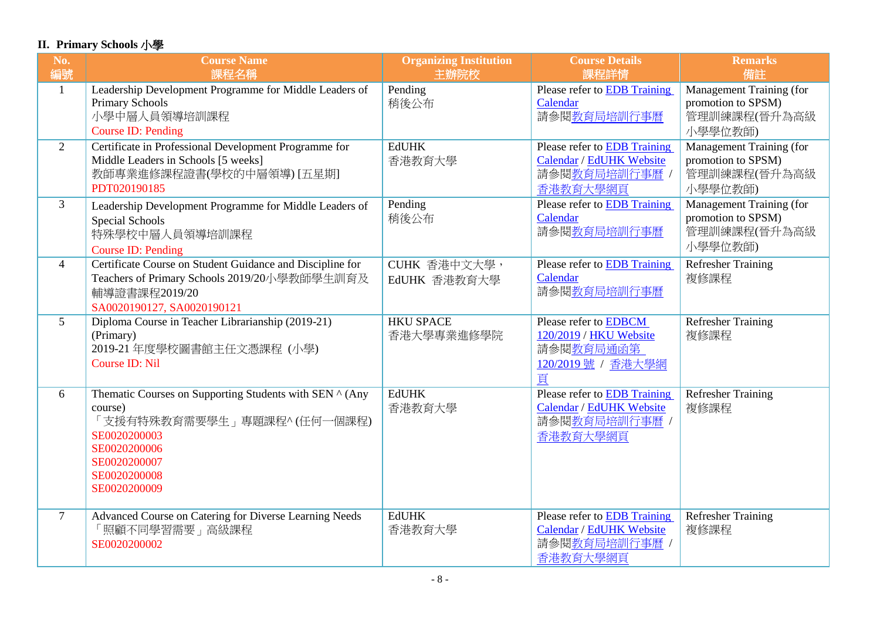## **II. Primary Schools** 小學

| No.<br>編號      | <b>Course Name</b><br>課程名稱                                                                                                                                                       | <b>Organizing Institution</b><br>主辦院校 | <b>Course Details</b><br>課程詳情                                                                 | <b>Remarks</b><br>備註                                                             |
|----------------|----------------------------------------------------------------------------------------------------------------------------------------------------------------------------------|---------------------------------------|-----------------------------------------------------------------------------------------------|----------------------------------------------------------------------------------|
| 1              | Leadership Development Programme for Middle Leaders of<br><b>Primary Schools</b><br>小學中層人員領導培訓課程<br><b>Course ID: Pending</b>                                                    | Pending<br>稍後公布                       | Please refer to EDB Training<br>Calendar<br>請參閱教育局培訓行事曆                                       | Management Training (for<br>promotion to SPSM)<br>管理訓練課程(晉升為高級<br>小學學位教師)        |
| $\overline{2}$ | Certificate in Professional Development Programme for<br>Middle Leaders in Schools [5 weeks]<br>教師專業進修課程證書(學校的中層領導) [五星期]<br>PDT020190185                                        | <b>EdUHK</b><br>香港教育大學                | Please refer to EDB Training<br>Calendar / EdUHK Website<br>請參閱教育局培訓行事曆,<br>香港教育大學網頁          | <b>Management Training (for</b><br>promotion to SPSM)<br>管理訓練課程(晉升為高級<br>小學學位教師) |
| $\overline{3}$ | Leadership Development Programme for Middle Leaders of<br><b>Special Schools</b><br>特殊學校中層人員領導培訓課程<br>Course ID: Pending                                                         | Pending<br>稍後公布                       | Please refer to EDB Training<br>Calendar<br>請參閱教育局培訓行事曆                                       | Management Training (for<br>promotion to SPSM)<br>管理訓練課程(晉升為高級<br>小學學位教師)        |
| $\overline{4}$ | Certificate Course on Student Guidance and Discipline for<br>Teachers of Primary Schools 2019/20小學教師學生訓育及<br>輔導證書課程2019/20<br>SA0020190127, SA0020190121                         | CUHK 香港中文大學,<br>EdUHK 香港教育大學          | Please refer to EDB Training<br>Calendar<br>請參閱教育局培訓行事曆                                       | <b>Refresher Training</b><br>複修課程                                                |
| 5 <sup>5</sup> | Diploma Course in Teacher Librarianship (2019-21)<br>(Primary)<br>2019-21 年度學校圖書館主任文憑課程 (小學)<br><b>Course ID: Nil</b>                                                            | <b>HKU SPACE</b><br>香港大學專業進修學院        | Please refer to <b>EDBCM</b><br>120/2019 / HKU Website<br>請參閱教育局通函第<br>120/2019號 / 香港大學網<br>頁 | <b>Refresher Training</b><br>複修課程                                                |
| 6              | Thematic Courses on Supporting Students with SEN ^ (Any<br>course)<br>「支援有特殊教育需要學生」專題課程^(任何一個課程)<br>SE0020200003<br>SE0020200006<br>SE0020200007<br>SE0020200008<br>SE0020200009 | <b>EdUHK</b><br>香港教育大學                | Please refer to EDB Training<br>Calendar / EdUHK Website<br>請參閱教育局培訓行事曆 /<br>香港教育大學網頁         | <b>Refresher Training</b><br>複修課程                                                |
| $\tau$         | Advanced Course on Catering for Diverse Learning Needs<br>「照顧不同學習需要」高級課程<br>SE0020200002                                                                                         | <b>EdUHK</b><br>香港教育大學                | Please refer to EDB Training<br>Calendar / EdUHK Website<br>請參閱教育局培訓行事曆 /<br>香港教育大學網頁         | <b>Refresher Training</b><br>複修課程                                                |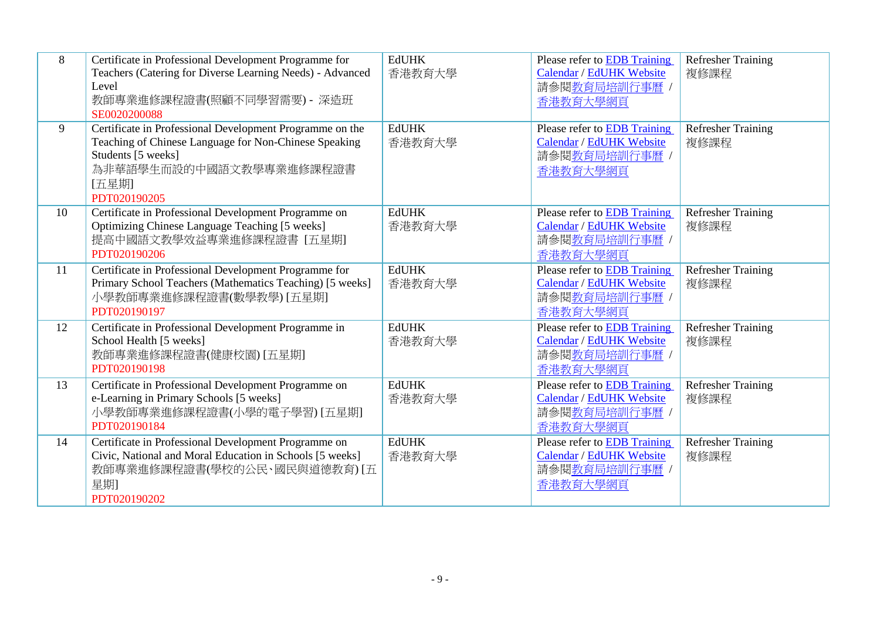| 8  | Certificate in Professional Development Programme for<br>Teachers (Catering for Diverse Learning Needs) - Advanced<br>Level<br>教師專業進修課程證書(照顧不同學習需要) - 深造班<br>SE0020200088                   | <b>EdUHK</b><br>香港教育大學 | Please refer to <b>EDB</b> Training<br>Calendar / EdUHK Website<br>請參閱教育局培訓行事曆 /<br>香港教育大學網頁 | <b>Refresher Training</b><br>複修課程 |
|----|---------------------------------------------------------------------------------------------------------------------------------------------------------------------------------------------|------------------------|----------------------------------------------------------------------------------------------|-----------------------------------|
| 9  | Certificate in Professional Development Programme on the<br>Teaching of Chinese Language for Non-Chinese Speaking<br>Students [5 weeks]<br>為非華語學生而設的中國語文教學專業進修課程證書<br>[五星期]<br>PDT020190205 | <b>EdUHK</b><br>香港教育大學 | Please refer to EDB Training<br>Calendar / EdUHK Website<br>請參閱教育局培訓行事曆<br>香港教育大學網頁          | <b>Refresher Training</b><br>複修課程 |
| 10 | Certificate in Professional Development Programme on<br>Optimizing Chinese Language Teaching [5 weeks]<br>提高中國語文教學效益專業進修課程證書 [五星期]<br>PDT020190206                                          | <b>EdUHK</b><br>香港教育大學 | Please refer to EDB Training<br>Calendar / EdUHK Website<br>請參閱教育局培訓行事曆 /<br>香港教育大學網頁        | <b>Refresher Training</b><br>複修課程 |
| 11 | Certificate in Professional Development Programme for<br>Primary School Teachers (Mathematics Teaching) [5 weeks]<br>小學教師專業進修課程證書(數學教學) [五星期]<br>PDT020190197                               | <b>EdUHK</b><br>香港教育大學 | Please refer to <b>EDB</b> Training<br>Calendar / EdUHK Website<br>請參閱教育局培訓行事曆 /<br>香港教育大學網頁 | <b>Refresher Training</b><br>複修課程 |
| 12 | Certificate in Professional Development Programme in<br>School Health [5 weeks]<br>教師專業進修課程證書(健康校園) [五星期]<br>PDT020190198                                                                   | <b>EdUHK</b><br>香港教育大學 | Please refer to EDB Training<br>Calendar / EdUHK Website<br>請參閱教育局培訓行事曆 /<br>香港教育大學網頁        | <b>Refresher Training</b><br>複修課程 |
| 13 | Certificate in Professional Development Programme on<br>e-Learning in Primary Schools [5 weeks]<br>小學教師專業進修課程證書(小學的電子學習) [五星期]<br>PDT020190184                                              | <b>EdUHK</b><br>香港教育大學 | Please refer to EDB Training<br>Calendar / EdUHK Website<br>請參閱教育局培訓行事曆<br>香港教育大學網頁          | <b>Refresher Training</b><br>複修課程 |
| 14 | Certificate in Professional Development Programme on<br>Civic, National and Moral Education in Schools [5 weeks]<br>教師專業進修課程證書(學校的公民、國民與道德教育) [五<br>星期<br>PDT020190202                      | <b>EdUHK</b><br>香港教育大學 | Please refer to EDB Training<br>Calendar / EdUHK Website<br>請參閱教育局培訓行事曆<br>香港教育大學網頁          | <b>Refresher Training</b><br>複修課程 |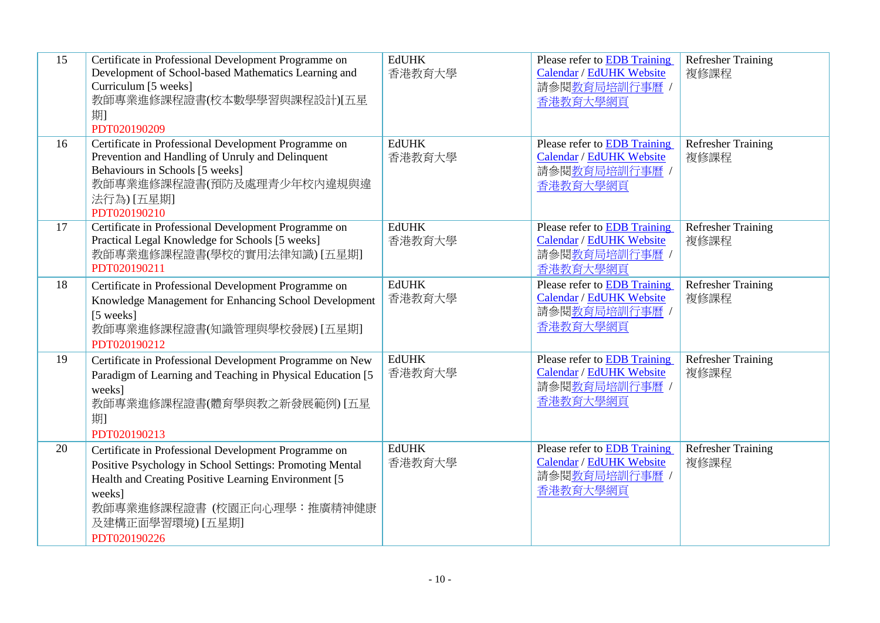| 15 | Certificate in Professional Development Programme on<br>Development of School-based Mathematics Learning and<br>Curriculum [5 weeks]<br>教師專業進修課程證書(校本數學學習與課程設計)[五星<br>期<br>PDT020190209                                                               | <b>EdUHK</b><br>香港教育大學 | <b>Please refer to EDB Training</b><br>Calendar / EdUHK Website<br>請參閱教育局培訓行事曆 /<br>香港教育大學網頁 | Refresher Training<br>複修課程        |
|----|-------------------------------------------------------------------------------------------------------------------------------------------------------------------------------------------------------------------------------------------------------|------------------------|----------------------------------------------------------------------------------------------|-----------------------------------|
| 16 | Certificate in Professional Development Programme on<br>Prevention and Handling of Unruly and Delinquent<br>Behaviours in Schools [5 weeks]<br>教師專業進修課程證書(預防及處理青少年校內違規與違<br>法行為) [五星期]<br>PDT020190210                                                | <b>EdUHK</b><br>香港教育大學 | Please refer to EDB Training<br>Calendar / EdUHK Website<br>請參閱教育局培訓行事曆 /<br>香港教育大學網頁        | <b>Refresher Training</b><br>複修課程 |
| 17 | Certificate in Professional Development Programme on<br>Practical Legal Knowledge for Schools [5 weeks]<br>教師專業進修課程證書(學校的實用法律知識) [五星期]<br>PDT020190211                                                                                                | <b>EdUHK</b><br>香港教育大學 | Please refer to EDB Training<br>Calendar / EdUHK Website<br>請參閱教育局培訓行事曆 /<br>香港教育大學網頁        | <b>Refresher Training</b><br>複修課程 |
| 18 | Certificate in Professional Development Programme on<br>Knowledge Management for Enhancing School Development<br>[5 weeks]<br>教師專業進修課程證書(知識管理與學校發展) [五星期]<br>PDT020190212                                                                             | <b>EdUHK</b><br>香港教育大學 | <b>Please refer to EDB Training</b><br>Calendar / EdUHK Website<br>請參閱教育局培訓行事曆 /<br>香港教育大學網頁 | Refresher Training<br>複修課程        |
| 19 | Certificate in Professional Development Programme on New<br>Paradigm of Learning and Teaching in Physical Education [5]<br>weeks]<br>教師專業進修課程證書(體育學與教之新發展範例) [五星<br>期<br>PDT020190213                                                                 | <b>EdUHK</b><br>香港教育大學 | Please refer to <b>EDB</b> Training<br>Calendar / EdUHK Website<br>請參閱教育局培訓行事曆 /<br>香港教育大學網頁 | <b>Refresher Training</b><br>複修課程 |
| 20 | Certificate in Professional Development Programme on<br>Positive Psychology in School Settings: Promoting Mental<br>Health and Creating Positive Learning Environment [5]<br>weeks]<br>教師專業進修課程證書 (校園正向心理學:推廣精神健康<br>及建構正面學習環境) [五星期]<br>PDT020190226 | <b>EdUHK</b><br>香港教育大學 | Please refer to EDB Training<br>Calendar / EdUHK Website<br>請參閱教育局培訓行事曆 /<br>香港教育大學網頁        | Refresher Training<br>複修課程        |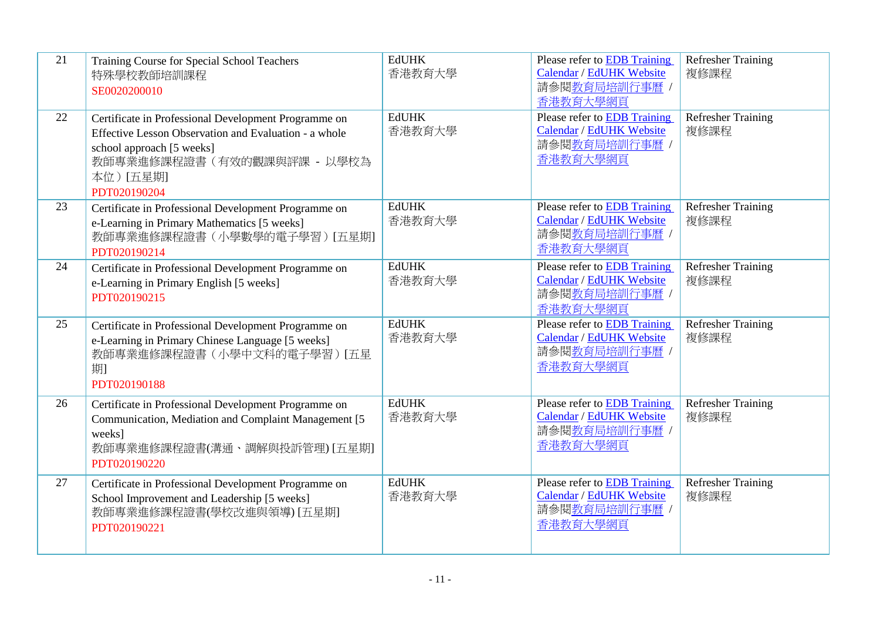| 21 | Training Course for Special School Teachers<br>特殊學校教師培訓課程<br>SE0020200010                                                                                                                             | <b>EdUHK</b><br>香港教育大學 | Please refer to EDB Training<br>Calendar / EdUHK Website<br>請參閱教育局培訓行事曆 /<br>香港教育大學網頁               | <b>Refresher Training</b><br>複修課程 |
|----|-------------------------------------------------------------------------------------------------------------------------------------------------------------------------------------------------------|------------------------|-----------------------------------------------------------------------------------------------------|-----------------------------------|
| 22 | Certificate in Professional Development Programme on<br>Effective Lesson Observation and Evaluation - a whole<br>school approach [5 weeks]<br>教師專業進修課程證書 (有效的觀課與評課 - 以學校為<br>本位)[五星期]<br>PDT020190204 | <b>EdUHK</b><br>香港教育大學 | Please refer to <b>EDB</b> Training<br>Calendar / EdUHK Website<br>請參閱教育局培訓行事曆 /<br>香港教育大學網頁        | <b>Refresher Training</b><br>複修課程 |
| 23 | Certificate in Professional Development Programme on<br>e-Learning in Primary Mathematics [5 weeks]<br>教師專業進修課程證書(小學數學的電子學習)[五星期]<br>PDT020190214                                                     | <b>EdUHK</b><br>香港教育大學 | Please refer to EDB Training<br><b>Calendar / EdUHK Website</b><br>請參閱教育局培訓行事曆 /<br>香港教育大學網頁        | <b>Refresher Training</b><br>複修課程 |
| 24 | Certificate in Professional Development Programme on<br>e-Learning in Primary English [5 weeks]<br>PDT020190215                                                                                       | <b>EdUHK</b><br>香港教育大學 | Please refer to <b>EDB</b> Training<br>Calendar / EdUHK Website<br>請參閱教育局培訓行事曆 /<br>香港教育大學網頁        | <b>Refresher Training</b><br>複修課程 |
| 25 | Certificate in Professional Development Programme on<br>e-Learning in Primary Chinese Language [5 weeks]<br>教師專業進修課程證書(小學中文科的電子學習) [五星<br>期<br>PDT020190188                                           | <b>EdUHK</b><br>香港教育大學 | Please refer to EDB Training<br>Calendar / EdUHK Website<br>請參閱教育局培訓行事曆/<br>香港教育大學網頁                | <b>Refresher Training</b><br>複修課程 |
| 26 | Certificate in Professional Development Programme on<br>Communication, Mediation and Complaint Management [5]<br>weeks]<br>教師專業進修課程證書(溝通、調解與投訴管理) [五星期]<br>PDT020190220                               | <b>EdUHK</b><br>香港教育大學 | <b>Please refer to EDB Training</b><br>Calendar / EdUHK Website<br>請參閱教育局培訓行事曆 /<br>香港教育大學網頁        | <b>Refresher Training</b><br>複修課程 |
| 27 | Certificate in Professional Development Programme on<br>School Improvement and Leadership [5 weeks]<br>教師專業進修課程證書(學校改進與領導) [五星期]<br>PDT020190221                                                      | <b>EdUHK</b><br>香港教育大學 | Please refer to <b>EDB</b> Training<br><b>Calendar / EdUHK Website</b><br>請參閱教育局培訓行事曆 /<br>香港教育大學網頁 | Refresher Training<br>複修課程        |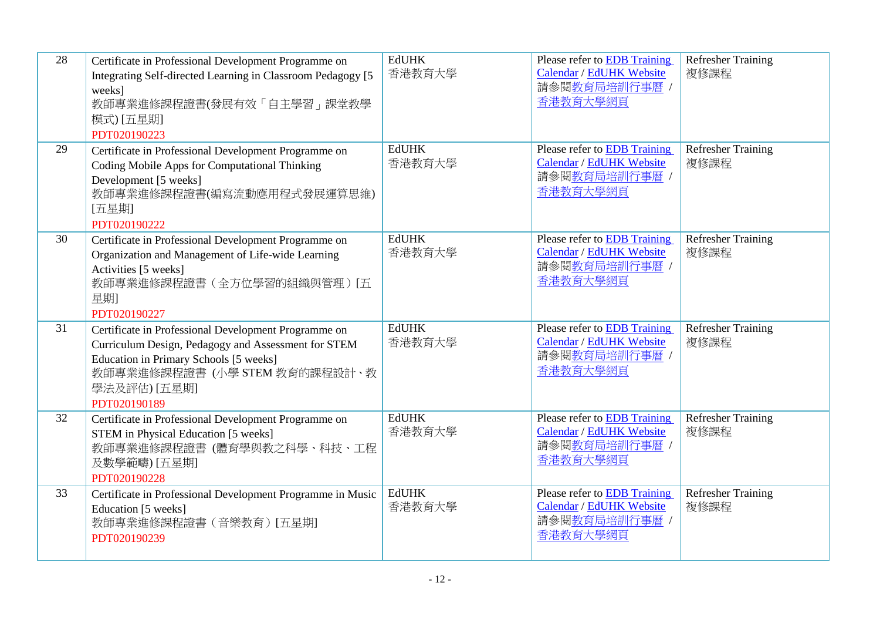| 28 | Certificate in Professional Development Programme on<br>Integrating Self-directed Learning in Classroom Pedagogy [5]<br>weeks]<br>教師專業進修課程證書(發展有效「自主學習」課堂教學<br>模式) [五星期]<br>PDT020190223                              | <b>EdUHK</b><br>香港教育大學 | Please refer to EDB Training<br>Calendar / EdUHK Website<br>請參閱教育局培訓行事曆 /<br>香港教育大學網頁        | <b>Refresher Training</b><br>複修課程 |
|----|-----------------------------------------------------------------------------------------------------------------------------------------------------------------------------------------------------------------------|------------------------|----------------------------------------------------------------------------------------------|-----------------------------------|
| 29 | Certificate in Professional Development Programme on<br>Coding Mobile Apps for Computational Thinking<br>Development [5 weeks]<br>教師專業進修課程證書(編寫流動應用程式發展運算思維)<br>[五星期]<br>PDT020190222                                 | <b>EdUHK</b><br>香港教育大學 | Please refer to <b>EDB</b> Training<br>Calendar / EdUHK Website<br>請參閱教育局培訓行事曆 /<br>香港教育大學網頁 | <b>Refresher Training</b><br>複修課程 |
| 30 | Certificate in Professional Development Programme on<br>Organization and Management of Life-wide Learning<br>Activities [5 weeks]<br>教師專業進修課程證書(全方位學習的組織與管理) [五<br>星期1<br>PDT020190227                                | <b>EdUHK</b><br>香港教育大學 | Please refer to EDB Training<br>Calendar / EdUHK Website<br>請參閱教育局培訓行事曆 /<br>香港教育大學網頁        | <b>Refresher Training</b><br>複修課程 |
| 31 | Certificate in Professional Development Programme on<br>Curriculum Design, Pedagogy and Assessment for STEM<br>Education in Primary Schools [5 weeks]<br>教師專業進修課程證書(小學 STEM 教育的課程設計、教<br>學法及評估) [五星期]<br>PDT020190189 | <b>EdUHK</b><br>香港教育大學 | Please refer to EDB Training<br>Calendar / EdUHK Website<br>請參閱教育局培訓行事曆 /<br>香港教育大學網頁        | <b>Refresher Training</b><br>複修課程 |
| 32 | Certificate in Professional Development Programme on<br>STEM in Physical Education [5 weeks]<br>教師專業進修課程證書 (體育學與教之科學、科技、工程<br>及數學範疇) [五星期]<br>PDT020190228                                                            | <b>EdUHK</b><br>香港教育大學 | Please refer to EDB Training<br>Calendar / EdUHK Website<br>請參閱教育局培訓行事曆 /<br>香港教育大學網頁        | Refresher Training<br>複修課程        |
| 33 | Certificate in Professional Development Programme in Music<br>Education [5 weeks]<br>教師專業進修課程證書 (音樂教育) [五星期]<br>PDT020190239                                                                                          | <b>EdUHK</b><br>香港教育大學 | Please refer to EDB Training<br>Calendar / EdUHK Website<br>請參閱教育局培訓行事曆,<br>香港教育大學網頁         | <b>Refresher Training</b><br>複修課程 |